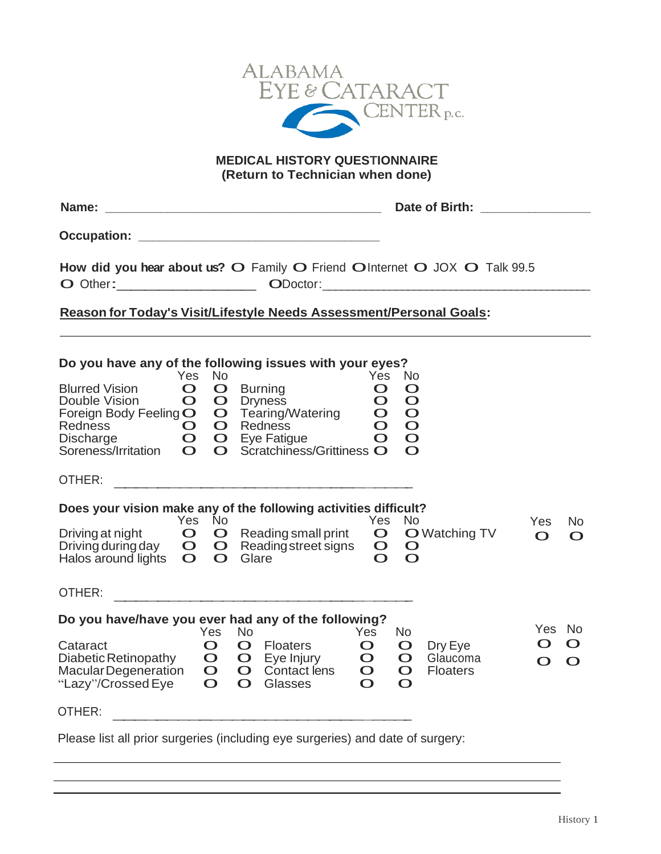

**MEDICAL HISTORY QUESTIONNAIRE (Return to Technician when done)**

| Name: |  |
|-------|--|
|       |  |

**Name: \_\_\_\_\_\_\_\_\_\_\_\_\_\_\_\_\_\_\_\_\_\_\_\_\_\_\_\_\_\_\_\_\_\_\_\_\_\_\_\_ Date of Birth: \_\_\_\_\_\_\_\_\_\_\_\_\_\_\_\_ Occupation: \_\_\_\_\_\_\_\_\_\_\_\_\_\_\_\_\_\_\_\_\_\_\_\_\_\_\_\_\_\_\_\_\_\_\_**

 $\overline{O}$ How did you hear about us? O Family O Friend OInternet O JOX O Talk 99.5 **Outheral Contract Control Contract Contract Contract Contract Contract Contract Contract Contract Contract Contract Contract Contract Contract Contract Contract Contract Contract Contract Contract Contract Contract Contra** 

## D  **Reason for Today's Visit/Lifestyle Needs Assessment/Personal Goals:**

| Do you have any of the following issues with your eyes?                                                                | Yes                                                           |                                                                                                      |                                                   |                                                                                                                    |                                                                        |                                                                                |                                                                                           |                                        |                             |                     |
|------------------------------------------------------------------------------------------------------------------------|---------------------------------------------------------------|------------------------------------------------------------------------------------------------------|---------------------------------------------------|--------------------------------------------------------------------------------------------------------------------|------------------------------------------------------------------------|--------------------------------------------------------------------------------|-------------------------------------------------------------------------------------------|----------------------------------------|-----------------------------|---------------------|
| <b>Blurred Vision</b><br>Double Vision<br>Foreign Body Feeling O<br><b>Redness</b><br>Discharge<br>Soreness/Irritation | $\mathbf O$<br>O<br>$\mathbf O$<br>$\mathbf O$<br>$\mathbf O$ | <b>No</b><br>$\mathbf O$<br>$\mathbf O$<br>$\mathbf O$<br>$\mathbf O$<br>$\mathbf{O}$<br>$\mathbf O$ |                                                   | <b>Burning</b><br><b>Dryness</b><br>Tearing/Watering<br><b>Redness</b><br>Eye Fatigue<br>Scratchiness/Grittiness O |                                                                        | Yes<br>$\mathbf O$<br>$\mathbf O$<br>$\mathbf O$<br>$\overline{O}$<br>$\Omega$ | <b>No</b><br>$\mathbf O$<br>$\mathbf O$<br>$\mathbf O$<br>$\mathbf O$<br>$\mathbf O$<br>O |                                        |                             |                     |
| OTHER:                                                                                                                 |                                                               |                                                                                                      |                                                   |                                                                                                                    |                                                                        |                                                                                |                                                                                           |                                        |                             |                     |
| Does your vision make any of the following activities difficult?<br>Driving at night                                   | Yes.<br>$\mathbf O$                                           | <b>No</b><br>$\mathbf O$                                                                             |                                                   | Reading small print                                                                                                |                                                                        | Yes<br>$\mathbf O$                                                             | <b>No</b>                                                                                 | <b>O</b> Watching TV                   | <b>Yes</b>                  | No.                 |
| Driving during day<br>Halos around lights                                                                              | $\mathbf{O}$<br>$\mathbf O$                                   | $\mathbf{O}$<br>$\mathbf O$                                                                          | Glare                                             | Reading street signs                                                                                               |                                                                        | $\mathbf O$<br>$\overline{O}$                                                  | $\mathbf O$<br>$\Omega$                                                                   |                                        | O                           | $\mathbf O$         |
| OTHER:                                                                                                                 |                                                               |                                                                                                      |                                                   |                                                                                                                    |                                                                        |                                                                                |                                                                                           |                                        |                             |                     |
| Do you have/have you ever had any of the following?                                                                    |                                                               |                                                                                                      |                                                   |                                                                                                                    |                                                                        |                                                                                |                                                                                           |                                        |                             |                     |
| Cataract<br>Diabetic Retinopathy<br><b>Macular Degeneration</b><br>"Lazy"/Crossed Eye                                  |                                                               | Yes<br>$\mathbf O$<br>$\mathbf O$<br>$\mathbf O$<br>$\mathbf O$                                      | No.<br>$\mathbf O$<br>$\mathbf{O}$<br>$\mathbf O$ | <b>Floaters</b><br>$O$ Eye Injury<br><b>Contact lens</b><br>Glasses                                                | <b>Yes</b><br>$\mathbf O$<br>$\mathbf O$<br>$\mathbf O$<br>$\mathbf O$ |                                                                                | No<br>$\mathbf O$<br>$\mathbf O$<br>$\mathbf O$<br>$\Omega$                               | Dry Eye<br>Glaucoma<br><b>Floaters</b> | <b>Yes</b><br>O<br>$\Omega$ | No<br>O<br>$\Omega$ |
| OTHER:                                                                                                                 |                                                               |                                                                                                      |                                                   |                                                                                                                    |                                                                        |                                                                                |                                                                                           |                                        |                             |                     |
| Please list all prior surgeries (including eye surgeries) and date of surgery:                                         |                                                               |                                                                                                      |                                                   |                                                                                                                    |                                                                        |                                                                                |                                                                                           |                                        |                             |                     |